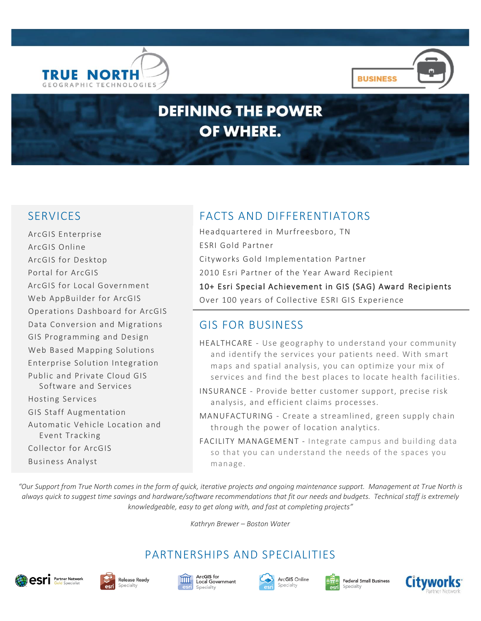



# **DEFINING THE POWER** OF WHERE.

ArcGIS Enterprise ArcGIS Online ArcGIS for Desktop Portal for ArcGIS ArcGIS for Local Government Web AppBuilder for ArcGIS Operations Dashboard for ArcGIS Data Conversion and Migrations GIS Programming and Design Web Based Mapping Solutions Enterprise Solution Integration Public and Private Cloud GIS Software and Services Hosting Services GIS Staff Augmentation Automatic Vehicle Location and Event Tracking Collector for ArcGIS Business Analyst

# SERVICES FACTS AND DIFFERENTIATORS

Headquartered in Murfreesboro, TN ESRI Gold Partner Cityworks Gold Implementation Partner 2010 Esri Partner of the Year Award Recipient 10+ Esri Special Achievement in GIS (SAG) Award Recipients Over 100 years of Collective ESRI GIS Experience

# GIS FOR BUSINESS

- HEALTHCARE Use geography to understand your community and identify the services your patients need. With smart maps and spatial analysis, you can optimize your mix of services and find the best places to locate health facilities.
- INSURANCE Provide better customer support, precise risk analysis, and efficient claims processes.
- MANUFACTURING Create a streamlined, green supply chain through the power of location analytics.
- FACILITY MANAGEMENT Integrate campus and building data so that you can understand the needs of the spaces you manage.

*"Our Support from True North comes in the form of quick, iterative projects and ongoing maintenance support. Management at True North is always quick to suggest time savings and hardware/software recommendations that fit our needs and budgets. Technical staff is extremely knowledgeable, easy to get along with, and fast at completing projects"*

*Kathryn Brewer – Boston Water*

# PARTNERSHIPS AND SPECIALITIES